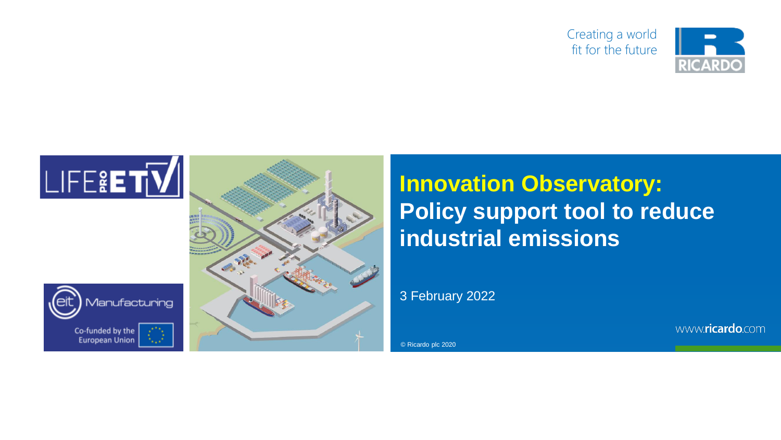





**Innovation Observatory:<br>Policy support tool to re<br>industrial emissions<br>3 February 2022<br>8 Ricardo plc 2020 Policy support tool to reduce industrial emissions**

3 February 2022

www.ricardo.com

© Ricardo plc 2020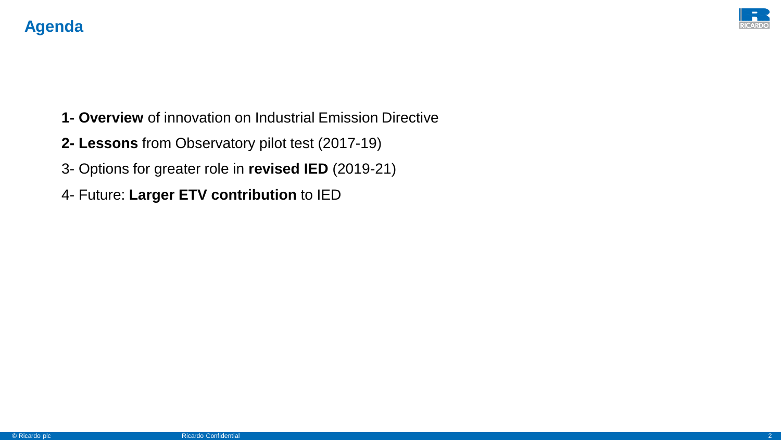

- **1- Overview** of innovation on Industrial Emission Directive
- **2- Lessons** from Observatory pilot test (2017-19)
- 3- Options for greater role in **revised IED** (2019-21)
- 4- Future: **Larger ETV contribution** to IED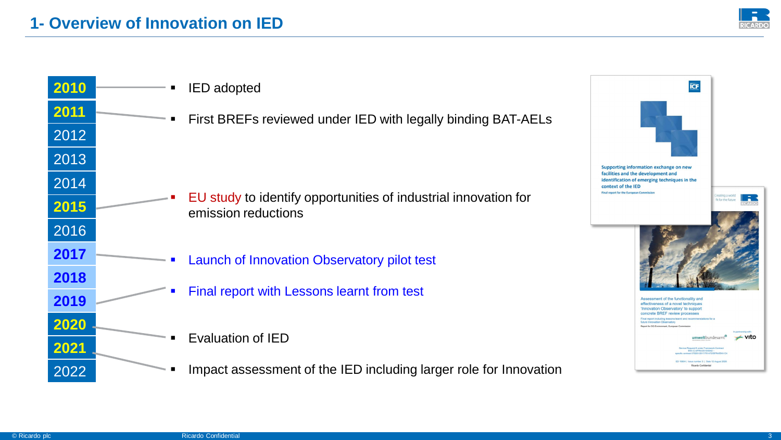RICARDO

Creating a world<br>fit for the future

In part umweltbundesamt® / vito

Service Request 8 under Framework Contract<br>ENV.C.AIFRA/2015/0042 -<br>specific contract 070201/2017/761472/SFRA/ENV C4

ED 10654 | Issue number 3 | Date 12 August 2020 Ricardo Confidential

| 2010 | <b>IED</b> adopted                                                                     | <b>ICF</b>                                                                                                                                          |
|------|----------------------------------------------------------------------------------------|-----------------------------------------------------------------------------------------------------------------------------------------------------|
| 2011 | First BREFs reviewed under IED with legally binding BAT-AELs                           |                                                                                                                                                     |
| 2012 |                                                                                        |                                                                                                                                                     |
| 2013 |                                                                                        | Supporting information exchange on new                                                                                                              |
| 2014 |                                                                                        | facilities and the development and<br>identification of emerging techniques in the<br>context of the IED<br>Final report for the European Commissio |
| 2015 | EU study to identify opportunities of industrial innovation for<br>emission reductions |                                                                                                                                                     |
| 2016 |                                                                                        |                                                                                                                                                     |
| 2017 | Launch of Innovation Observatory pilot test                                            |                                                                                                                                                     |
| 2018 |                                                                                        |                                                                                                                                                     |
| 2019 | Final report with Lessons learnt from test                                             | Assessment of the functionality and<br>effectiveness of a novel techniques<br>'Innovation Observatory' to suppor<br>concrete BREF review processe   |
| 2020 |                                                                                        | Final report including le<br>future Innovation Observate<br>Report for DG Environment, European C                                                   |
| 2021 | Evaluation of IED                                                                      |                                                                                                                                                     |
| 2022 | Impact assessment of the IED including larger role for Innovation                      |                                                                                                                                                     |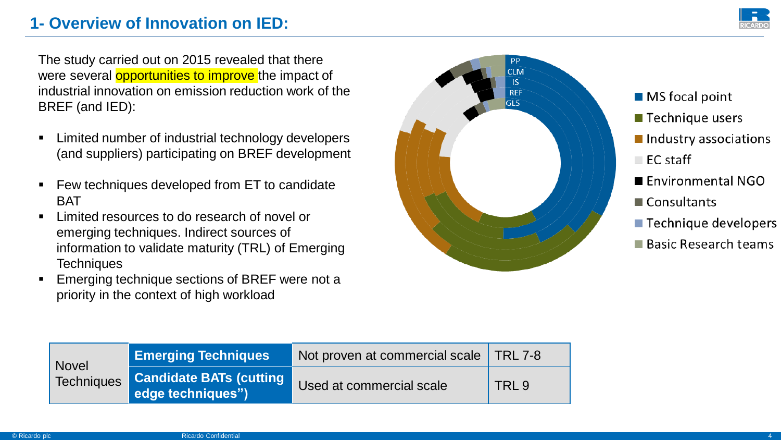## **1- Overview of Innovation on IED:**

The study carried out on 2015 revealed that there were several **opportunities to improve** the impact of industrial innovation on emission reduction work of the BREF (and IED):

- Limited number of industrial technology developers (and suppliers) participating on BREF development
- Few techniques developed from ET to candidate BAT
- Limited resources to do research of novel or emerging techniques. Indirect sources of information to validate maturity (TRL) of Emerging **Techniques**
- Emerging technique sections of BREF were not a priority in the context of high workload



- $\blacksquare$  MS focal point
- **Technique users**
- Industry associations
- $\blacksquare$  EC staff
- Environmental NGO
- Consultants
- Technique developers
- Basic Research teams

| <b>Novel</b><br><b>Techniques</b> | <b>Emerging Techniques</b>                           | Not proven at commercial scale   TRL 7-8 |                  |
|-----------------------------------|------------------------------------------------------|------------------------------------------|------------------|
|                                   | <b>Candidate BATs (cutting)</b><br>edge techniques") | Used at commercial scale                 | TRL <sub>9</sub> |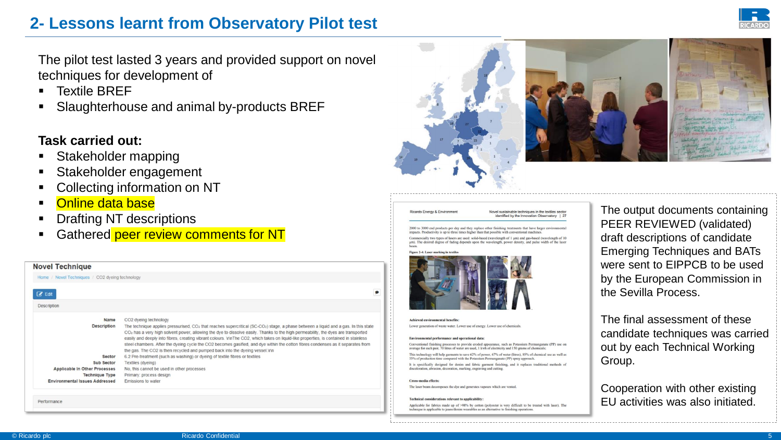## **2- Lessons learnt from Observatory Pilot test**

The pilot test lasted 3 years and provided support on novel techniques for development of

- **Textile BREF**
- Slaughterhouse and animal by-products BREF

### **Task carried out:**

- Stakeholder mapping
- Stakeholder engagement
- Collecting information on NT
- Online data base
- **Drafting NT descriptions**
- Gathered peer review comments for NT







#### Novel sustainable techniques in the textiles sector

identified by the Innovation Observatory | 27

2000 to 3000 end products per day and they replace other finishing treatments that have la mpacts. Productivity is up to three times higher than that possible with conventional machines ially two types of lasers are used: solid-based (wavelength of 1 µm) and gas-based (wavelength of 10

um). The desired degree of fading depends upon the wavelength, power density, and pulse width of the lase



**Achieved environmental benefits** Lower generation of waste water. Lower use of energy. Lower use of chemicals

#### Environmental performance and operational data:

Conventional finishing processes to provide eroded appearance, such as Potassium Permanganate (PP) use on average for each pair. 70 litres of water are used. 1 kwh of electricity and 150 grams of chemicals: This technology will help garments to save 62% of power, 67% of water (litres), 85% of chemical use as well as 55% of production time compared with the Potassium Permaneanate (PP) spray approach It is specifically designed for denim and fabric garment finishing, and it replaces traditional methods of discoloration, abrasion, decoration, marking, engraving and cutting.

#### Cross-media effects:

Ricardo Energy & Environmen

The laser beam decomposes the dye and generates vapours which are vented

#### **Technical considerations relevant to applicability**

Applicable for fabrics made up of >98% by cotton (polyester is very difficult to be treated with laser). The ae is applicable to jeans/denim wearables as an alternative to finishing operation

The output documents containing PEER REVIEWED (validated) draft descriptions of candidate Emerging Techniques and BATs were sent to EIPPCB to be used by the European Commission in the Sevilla Process.

The final assessment of these candidate techniques was carried out by each Technical Working Group.

Cooperation with other existing EU activities was also initiated.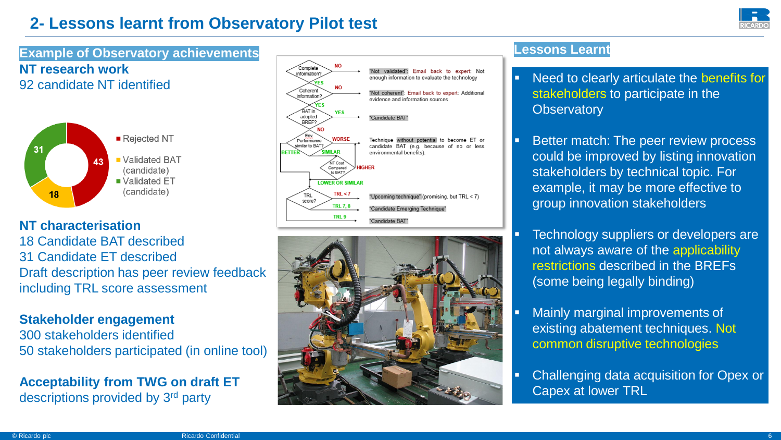# **2- Lessons learnt from Observatory Pilot test**



**Example of Observatory achievements NT research work** 92 candidate NT identified



**NT characterisation**

18 Candidate BAT described 31 Candidate ET described Draft description has peer review feedback including TRL score assessment

### **Stakeholder engagement**

300 stakeholders identified 50 stakeholders participated (in online tool)

**Acceptability from TWG on draft ET**  descriptions provided by 3rd party





### **Lessons Learnt**

- Need to clearly articulate the benefits for stakeholders to participate in the **Observatory**
- Better match: The peer review process could be improved by listing innovation stakeholders by technical topic. For example, it may be more effective to group innovation stakeholders
- **EXECO TECH FOOD SUPPLIER** FOR DEVELOPERS are not always aware of the applicability restrictions described in the BREFs (some being legally binding)
- Mainly marginal improvements of existing abatement techniques. Not common disruptive technologies
- **Challenging data acquisition for Opex or** Capex at lower TRL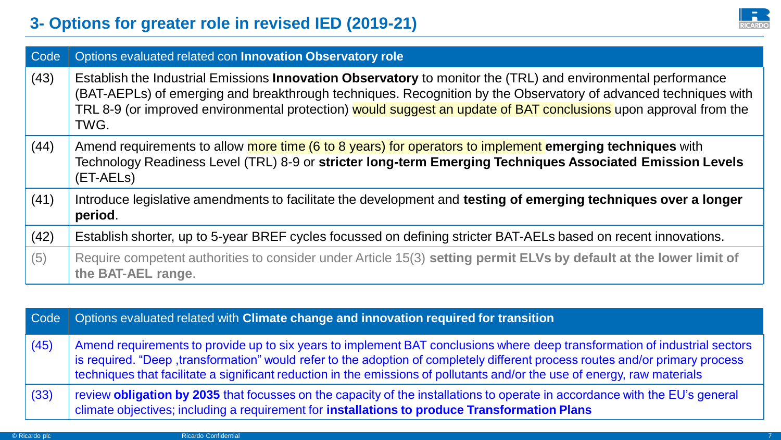

| Code | Options evaluated related con Innovation Observatory role                                                                                                                                                                                                                                                                                                   |
|------|-------------------------------------------------------------------------------------------------------------------------------------------------------------------------------------------------------------------------------------------------------------------------------------------------------------------------------------------------------------|
| (43) | Establish the Industrial Emissions Innovation Observatory to monitor the (TRL) and environmental performance<br>(BAT-AEPLs) of emerging and breakthrough techniques. Recognition by the Observatory of advanced techniques with<br>TRL 8-9 (or improved environmental protection) would suggest an update of BAT conclusions upon approval from the<br>TWG. |
| (44) | Amend requirements to allow more time (6 to 8 years) for operators to implement emerging techniques with<br>Technology Readiness Level (TRL) 8-9 or stricter long-term Emerging Techniques Associated Emission Levels<br>(ET-AELs)                                                                                                                          |
| (41) | Introduce legislative amendments to facilitate the development and testing of emerging techniques over a longer<br>period.                                                                                                                                                                                                                                  |
| (42) | Establish shorter, up to 5-year BREF cycles focussed on defining stricter BAT-AELs based on recent innovations.                                                                                                                                                                                                                                             |
| (5)  | Require competent authorities to consider under Article 15(3) setting permit ELVs by default at the lower limit of<br>the BAT-AEL range.                                                                                                                                                                                                                    |

|      | Code   Options evaluated related with Climate change and innovation required for transition                                                                                                                                                                                                                                                                                              |
|------|------------------------------------------------------------------------------------------------------------------------------------------------------------------------------------------------------------------------------------------------------------------------------------------------------------------------------------------------------------------------------------------|
| (45) | Amend requirements to provide up to six years to implement BAT conclusions where deep transformation of industrial sectors<br>is required. "Deep ,transformation" would refer to the adoption of completely different process routes and/or primary process<br>techniques that facilitate a significant reduction in the emissions of pollutants and/or the use of energy, raw materials |
| (33) | review <b>obligation by 2035</b> that focusses on the capacity of the installations to operate in accordance with the EU's general<br>climate objectives; including a requirement for <b>installations to produce Transformation Plans</b>                                                                                                                                               |